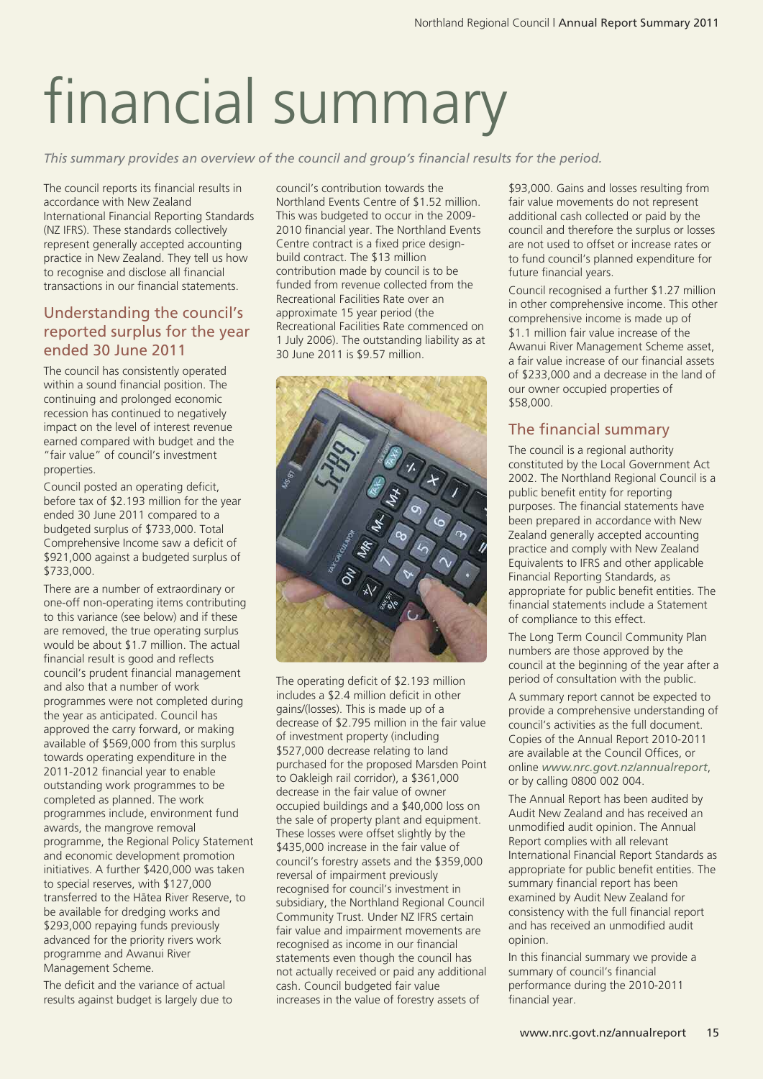# financial summary

*This summary provides an overview of the council and group's financial results for the period.*

The council reports its financial results in accordance with New Zealand International Financial Reporting Standards (NZ IFRS). These standards collectively represent generally accepted accounting practice in New Zealand. They tell us how to recognise and disclose all financial transactions in our financial statements.

# Understanding the council's reported surplus for the year ended 30 June 2011

The council has consistently operated within a sound financial position. The continuing and prolonged economic recession has continued to negatively impact on the level of interest revenue earned compared with budget and the "fair value" of council's investment properties.

Council posted an operating deficit, before tax of \$2.193 million for the year ended 30 June 2011 compared to a budgeted surplus of \$733,000. Total Comprehensive Income saw a deficit of \$921,000 against a budgeted surplus of \$733,000.

There are a number of extraordinary or one-off non-operating items contributing to this variance (see below) and if these are removed, the true operating surplus would be about \$1.7 million. The actual financial result is good and reflects council's prudent financial management and also that a number of work programmes were not completed during the year as anticipated. Council has approved the carry forward, or making available of \$569,000 from this surplus towards operating expenditure in the 2011-2012 financial year to enable outstanding work programmes to be completed as planned. The work programmes include, environment fund awards, the mangrove removal programme, the Regional Policy Statement and economic development promotion initiatives. A further \$420,000 was taken to special reserves, with \$127,000 transferred to the Hätea River Reserve, to be available for dredging works and \$293,000 repaying funds previously advanced for the priority rivers work programme and Awanui River Management Scheme.

The deficit and the variance of actual results against budget is largely due to

council's contribution towards the Northland Events Centre of \$1.52 million. This was budgeted to occur in the 2009- 2010 financial year. The Northland Events Centre contract is a fixed price designbuild contract. The \$13 million contribution made by council is to be funded from revenue collected from the Recreational Facilities Rate over an approximate 15 year period (the Recreational Facilities Rate commenced on 1 July 2006). The outstanding liability as at 30 June 2011 is \$9.57 million.



The operating deficit of \$2.193 million includes a \$2.4 million deficit in other gains/(losses). This is made up of a decrease of \$2.795 million in the fair value of investment property (including \$527,000 decrease relating to land purchased for the proposed Marsden Point to Oakleigh rail corridor), a \$361,000 decrease in the fair value of owner occupied buildings and a \$40,000 loss on the sale of property plant and equipment. These losses were offset slightly by the \$435,000 increase in the fair value of council's forestry assets and the \$359,000 reversal of impairment previously recognised for council's investment in subsidiary, the Northland Regional Council Community Trust. Under NZ IFRS certain fair value and impairment movements are recognised as income in our financial statements even though the council has not actually received or paid any additional cash. Council budgeted fair value increases in the value of forestry assets of

\$93,000. Gains and losses resulting from fair value movements do not represent additional cash collected or paid by the council and therefore the surplus or losses are not used to offset or increase rates or to fund council's planned expenditure for future financial years.

Council recognised a further \$1.27 million in other comprehensive income. This other comprehensive income is made up of \$1.1 million fair value increase of the Awanui River Management Scheme asset, a fair value increase of our financial assets of \$233,000 and a decrease in the land of our owner occupied properties of \$58,000.

# The financial summary

The council is a regional authority constituted by the Local Government Act 2002. The Northland Regional Council is a public benefit entity for reporting purposes. The financial statements have been prepared in accordance with New Zealand generally accepted accounting practice and comply with New Zealand Equivalents to IFRS and other applicable Financial Reporting Standards, as appropriate for public benefit entities. The financial statements include a Statement of compliance to this effect.

The Long Term Council Community Plan numbers are those approved by the council at the beginning of the year after a period of consultation with the public.

A summary report cannot be expected to provide a comprehensive understanding of council's activities as the full document. Copies of the Annual Report 2010-2011 are available at the Council Offices, or online *www.nrc.govt.nz/annualreport*, or by calling 0800 002 004.

The Annual Report has been audited by Audit New Zealand and has received an unmodified audit opinion. The Annual Report complies with all relevant International Financial Report Standards as appropriate for public benefit entities. The summary financial report has been examined by Audit New Zealand for consistency with the full financial report and has received an unmodified audit opinion.

In this financial summary we provide a summary of council's financial performance during the 2010-2011 financial year.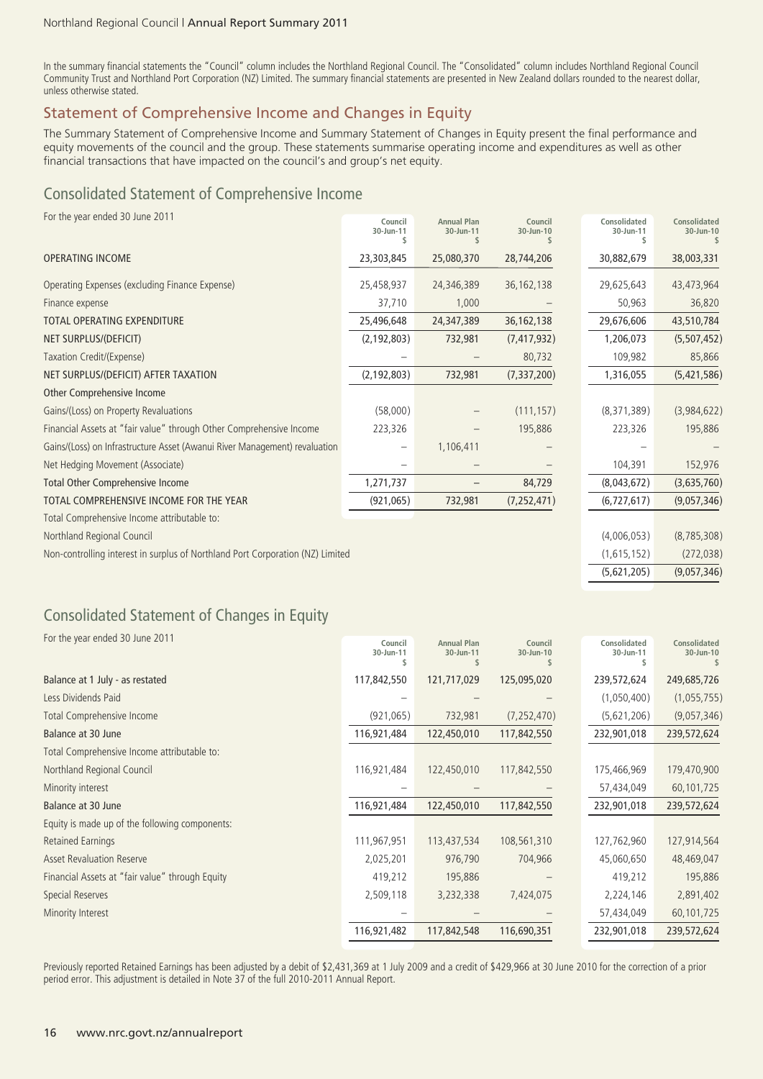In the summary financial statements the "Council" column includes the Northland Regional Council. The "Consolidated" column includes Northland Regional Council Community Trust and Northland Port Corporation (NZ) Limited. The summary financial statements are presented in New Zealand dollars rounded to the nearest dollar, unless otherwise stated.

# Statement of Comprehensive Income and Changes in Equity

The Summary Statement of Comprehensive Income and Summary Statement of Changes in Equity present the final performance and equity movements of the council and the group. These statements summarise operating income and expenditures as well as other financial transactions that have impacted on the council's and group's net equity.

# Consolidated Statement of Comprehensive Income

For the year ended 30 June 2011

| 23,303,845<br>30,882,679<br>38,003,331<br><b>OPERATING INCOME</b><br>25,080,370<br>28,744,206<br>Operating Expenses (excluding Finance Expense)<br>25,458,937<br>24,346,389<br>36, 162, 138<br>29,625,643<br>43,473,964<br>37,710<br>36,820<br>1,000<br>50,963<br>Finance expense<br>36, 162, 138<br>43,510,784<br><b>TOTAL OPERATING EXPENDITURE</b><br>25,496,648<br>24,347,389<br>29,676,606<br>NET SURPLUS/(DEFICIT)<br>(2, 192, 803)<br>732,981<br>(7, 417, 932)<br>1,206,073<br>Taxation Credit/(Expense)<br>80,732<br>109,982<br>85,866<br>(2, 192, 803)<br>(7, 337, 200)<br>NET SURPLUS/(DEFICIT) AFTER TAXATION<br>732,981<br>1,316,055<br>Other Comprehensive Income<br>Gains/(Loss) on Property Revaluations<br>(58,000)<br>(111, 157)<br>(8,371,389)<br>Financial Assets at "fair value" through Other Comprehensive Income<br>223,326<br>195,886<br>223,326<br>195,886<br>Gains/(Loss) on Infrastructure Asset (Awanui River Management) revaluation<br>1,106,411<br>Net Hedging Movement (Associate)<br>104,391<br>152,976<br><b>Total Other Comprehensive Income</b><br>1,271,737<br>84,729<br>(8,043,672)<br>TOTAL COMPREHENSIVE INCOME FOR THE YEAR<br>(921, 065)<br>732,981<br>(7, 252, 471)<br>(6, 727, 617)<br>Total Comprehensive Income attributable to:<br>Northland Regional Council<br>(4,006,053)<br>Non-controlling interest in surplus of Northland Port Corporation (NZ) Limited<br>(1,615,152)<br>(5,621,205) | TOT the year chaca Jo June 2011 | Council<br>30-Jun-11 | <b>Annual Plan</b><br>30-Jun-11 | Council<br>30-Jun-10 | Consolidated<br>30-Jun-11 | Consolidated<br>30-Jun-10 |
|---------------------------------------------------------------------------------------------------------------------------------------------------------------------------------------------------------------------------------------------------------------------------------------------------------------------------------------------------------------------------------------------------------------------------------------------------------------------------------------------------------------------------------------------------------------------------------------------------------------------------------------------------------------------------------------------------------------------------------------------------------------------------------------------------------------------------------------------------------------------------------------------------------------------------------------------------------------------------------------------------------------------------------------------------------------------------------------------------------------------------------------------------------------------------------------------------------------------------------------------------------------------------------------------------------------------------------------------------------------------------------------------------------------------------------------------|---------------------------------|----------------------|---------------------------------|----------------------|---------------------------|---------------------------|
|                                                                                                                                                                                                                                                                                                                                                                                                                                                                                                                                                                                                                                                                                                                                                                                                                                                                                                                                                                                                                                                                                                                                                                                                                                                                                                                                                                                                                                             |                                 |                      |                                 |                      |                           |                           |
|                                                                                                                                                                                                                                                                                                                                                                                                                                                                                                                                                                                                                                                                                                                                                                                                                                                                                                                                                                                                                                                                                                                                                                                                                                                                                                                                                                                                                                             |                                 |                      |                                 |                      |                           |                           |
|                                                                                                                                                                                                                                                                                                                                                                                                                                                                                                                                                                                                                                                                                                                                                                                                                                                                                                                                                                                                                                                                                                                                                                                                                                                                                                                                                                                                                                             |                                 |                      |                                 |                      |                           |                           |
|                                                                                                                                                                                                                                                                                                                                                                                                                                                                                                                                                                                                                                                                                                                                                                                                                                                                                                                                                                                                                                                                                                                                                                                                                                                                                                                                                                                                                                             |                                 |                      |                                 |                      |                           |                           |
|                                                                                                                                                                                                                                                                                                                                                                                                                                                                                                                                                                                                                                                                                                                                                                                                                                                                                                                                                                                                                                                                                                                                                                                                                                                                                                                                                                                                                                             |                                 |                      |                                 |                      |                           | (5,507,452)               |
|                                                                                                                                                                                                                                                                                                                                                                                                                                                                                                                                                                                                                                                                                                                                                                                                                                                                                                                                                                                                                                                                                                                                                                                                                                                                                                                                                                                                                                             |                                 |                      |                                 |                      |                           |                           |
|                                                                                                                                                                                                                                                                                                                                                                                                                                                                                                                                                                                                                                                                                                                                                                                                                                                                                                                                                                                                                                                                                                                                                                                                                                                                                                                                                                                                                                             |                                 |                      |                                 |                      |                           | (5,421,586)               |
|                                                                                                                                                                                                                                                                                                                                                                                                                                                                                                                                                                                                                                                                                                                                                                                                                                                                                                                                                                                                                                                                                                                                                                                                                                                                                                                                                                                                                                             |                                 |                      |                                 |                      |                           |                           |
|                                                                                                                                                                                                                                                                                                                                                                                                                                                                                                                                                                                                                                                                                                                                                                                                                                                                                                                                                                                                                                                                                                                                                                                                                                                                                                                                                                                                                                             |                                 |                      |                                 |                      |                           | (3,984,622)               |
|                                                                                                                                                                                                                                                                                                                                                                                                                                                                                                                                                                                                                                                                                                                                                                                                                                                                                                                                                                                                                                                                                                                                                                                                                                                                                                                                                                                                                                             |                                 |                      |                                 |                      |                           |                           |
|                                                                                                                                                                                                                                                                                                                                                                                                                                                                                                                                                                                                                                                                                                                                                                                                                                                                                                                                                                                                                                                                                                                                                                                                                                                                                                                                                                                                                                             |                                 |                      |                                 |                      |                           |                           |
|                                                                                                                                                                                                                                                                                                                                                                                                                                                                                                                                                                                                                                                                                                                                                                                                                                                                                                                                                                                                                                                                                                                                                                                                                                                                                                                                                                                                                                             |                                 |                      |                                 |                      |                           |                           |
|                                                                                                                                                                                                                                                                                                                                                                                                                                                                                                                                                                                                                                                                                                                                                                                                                                                                                                                                                                                                                                                                                                                                                                                                                                                                                                                                                                                                                                             |                                 |                      |                                 |                      |                           | (3,635,760)               |
|                                                                                                                                                                                                                                                                                                                                                                                                                                                                                                                                                                                                                                                                                                                                                                                                                                                                                                                                                                                                                                                                                                                                                                                                                                                                                                                                                                                                                                             |                                 |                      |                                 |                      |                           | (9,057,346)               |
|                                                                                                                                                                                                                                                                                                                                                                                                                                                                                                                                                                                                                                                                                                                                                                                                                                                                                                                                                                                                                                                                                                                                                                                                                                                                                                                                                                                                                                             |                                 |                      |                                 |                      |                           |                           |
|                                                                                                                                                                                                                                                                                                                                                                                                                                                                                                                                                                                                                                                                                                                                                                                                                                                                                                                                                                                                                                                                                                                                                                                                                                                                                                                                                                                                                                             |                                 |                      |                                 |                      |                           | (8, 785, 308)             |
|                                                                                                                                                                                                                                                                                                                                                                                                                                                                                                                                                                                                                                                                                                                                                                                                                                                                                                                                                                                                                                                                                                                                                                                                                                                                                                                                                                                                                                             |                                 |                      |                                 |                      |                           | (272, 038)                |
|                                                                                                                                                                                                                                                                                                                                                                                                                                                                                                                                                                                                                                                                                                                                                                                                                                                                                                                                                                                                                                                                                                                                                                                                                                                                                                                                                                                                                                             |                                 |                      |                                 |                      |                           | (9,057,346)               |

# Consolidated Statement of Changes in Equity

| For the year ended 30 June 2011                 | Council<br>30-Jun-11 | <b>Annual Plan</b><br>30-Jun-11 | Council<br>30-Jun-10 | Consolidated<br>30-Jun-11 | Consolidated<br>30-Jun-10 |
|-------------------------------------------------|----------------------|---------------------------------|----------------------|---------------------------|---------------------------|
| Balance at 1 July - as restated                 | 117,842,550          | 121,717,029                     | 125,095,020          | 239,572,624               | 249,685,726               |
| Less Dividends Paid                             |                      |                                 |                      | (1,050,400)               | (1,055,755)               |
| <b>Total Comprehensive Income</b>               | (921,065)            | 732,981                         | (7, 252, 470)        | (5,621,206)               | (9,057,346)               |
| Balance at 30 June                              | 116,921,484          | 122,450,010                     | 117,842,550          | 232,901,018               | 239,572,624               |
| Total Comprehensive Income attributable to:     |                      |                                 |                      |                           |                           |
| Northland Regional Council                      | 116,921,484          | 122,450,010                     | 117,842,550          | 175,466,969               | 179,470,900               |
| Minority interest                               |                      |                                 |                      | 57,434,049                | 60,101,725                |
| Balance at 30 June                              | 116,921,484          | 122,450,010                     | 117,842,550          | 232,901,018               | 239,572,624               |
| Equity is made up of the following components:  |                      |                                 |                      |                           |                           |
| <b>Retained Earnings</b>                        | 111,967,951          | 113,437,534                     | 108,561,310          | 127,762,960               | 127,914,564               |
| <b>Asset Revaluation Reserve</b>                | 2,025,201            | 976,790                         | 704,966              | 45,060,650                | 48,469,047                |
| Financial Assets at "fair value" through Equity | 419,212              | 195,886                         |                      | 419,212                   | 195,886                   |
| Special Reserves                                | 2,509,118            | 3,232,338                       | 7,424,075            | 2,224,146                 | 2,891,402                 |
| Minority Interest                               |                      |                                 |                      | 57,434,049                | 60,101,725                |
|                                                 | 116,921,482          | 117,842,548                     | 116,690,351          | 232,901,018               | 239,572,624               |

Previously reported Retained Earnings has been adjusted by a debit of \$2,431,369 at 1 July 2009 and a credit of \$429,966 at 30 June 2010 for the correction of a prior period error. This adjustment is detailed in Note 37 of the full 2010-2011 Annual Report.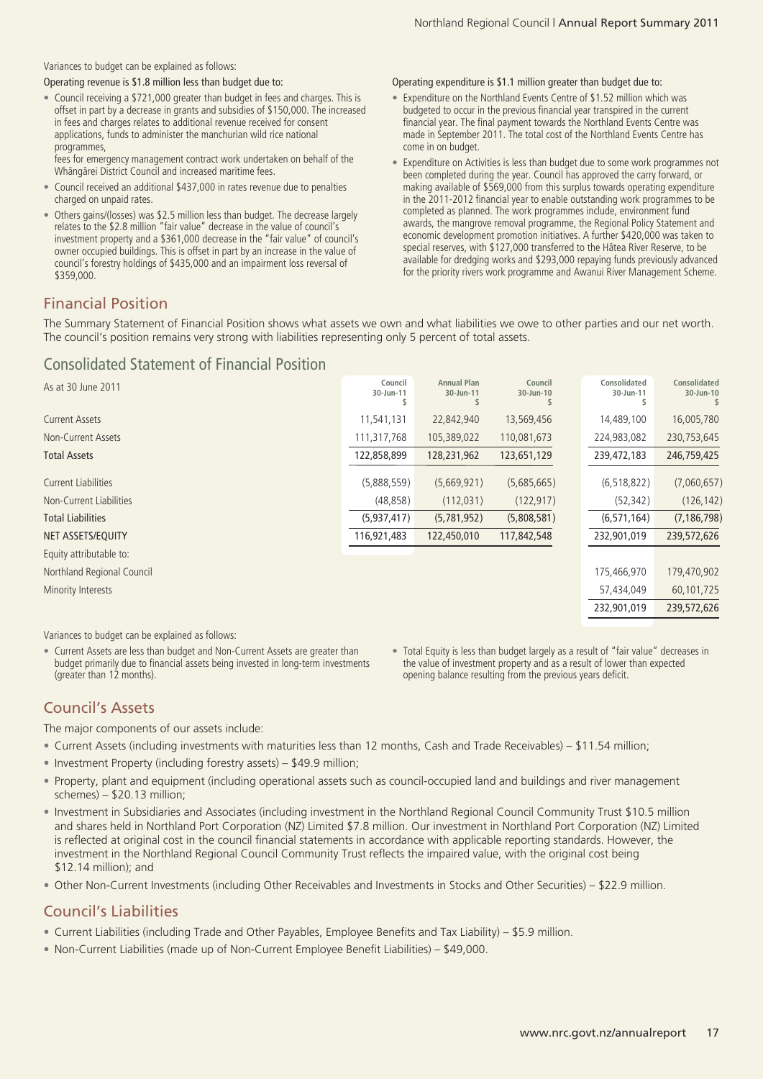Variances to budget can be explained as follows:

Operating revenue is \$1.8 million less than budget due to:

• Council receiving a \$721,000 greater than budget in fees and charges. This is offset in part by a decrease in grants and subsidies of \$150,000. The increased in fees and charges relates to additional revenue received for consent applications, funds to administer the manchurian wild rice national programmes, fees for emergency management contract work undertaken on behalf of the

Whängärei District Council and increased maritime fees.

- Council received an additional \$437,000 in rates revenue due to penalties charged on unpaid rates.
- Others gains/(losses) was \$2.5 million less than budget. The decrease largely relates to the \$2.8 million "fair value" decrease in the value of council's investment property and a \$361,000 decrease in the "fair value" of council's owner occupied buildings. This is offset in part by an increase in the value of council's forestry holdings of \$435,000 and an impairment loss reversal of \$359,000.

Operating expenditure is \$1.1 million greater than budget due to:

- Expenditure on the Northland Events Centre of \$1.52 million which was budgeted to occur in the previous financial year transpired in the current financial year. The final payment towards the Northland Events Centre was made in September 2011. The total cost of the Northland Events Centre has come in on budget.
- Expenditure on Activities is less than budget due to some work programmes not been completed during the year. Council has approved the carry forward, or making available of \$569,000 from this surplus towards operating expenditure in the 2011-2012 financial year to enable outstanding work programmes to be completed as planned. The work programmes include, environment fund awards, the mangrove removal programme, the Regional Policy Statement and economic development promotion initiatives. A further \$420,000 was taken to special reserves, with \$127,000 transferred to the Hätea River Reserve, to be available for dredging works and \$293,000 repaying funds previously advanced for the priority rivers work programme and Awanui River Management Scheme.

# Financial Position

The Summary Statement of Financial Position shows what assets we own and what liabilities we owe to other parties and our net worth. The council's position remains very strong with liabilities representing only 5 percent of total assets.

# Consolidated Statement of Financial Position

| As at 30 June 2011         | Council<br>30-Jun-11 | <b>Annual Plan</b><br>30-Jun-11 | Council<br>30-Jun-10 | Consolidated<br>30-Jun-11 | Consolidated<br>30-Jun-10 |
|----------------------------|----------------------|---------------------------------|----------------------|---------------------------|---------------------------|
| <b>Current Assets</b>      | 11,541,131           | 22,842,940                      | 13,569,456           | 14,489,100                | 16,005,780                |
| Non-Current Assets         | 111,317,768          | 105,389,022                     | 110,081,673          | 224,983,082               | 230,753,645               |
| <b>Total Assets</b>        | 122,858,899          | 128,231,962                     | 123,651,129          | 239,472,183               | 246,759,425               |
| <b>Current Liabilities</b> | (5,888,559)          | (5,669,921)                     | (5,685,665)          | (6, 518, 822)             | (7,060,657)               |
| Non-Current Liabilities    | (48, 858)            | (112, 031)                      | (122, 917)           | (52, 342)                 | (126, 142)                |
| <b>Total Liabilities</b>   | (5,937,417)          | (5,781,952)                     | (5,808,581)          | (6, 571, 164)             | (7, 186, 798)             |
| NET ASSETS/EQUITY          | 116,921,483          | 122,450,010                     | 117,842,548          | 232,901,019               | 239,572,626               |
| Equity attributable to:    |                      |                                 |                      |                           |                           |
| Northland Regional Council |                      |                                 |                      | 175,466,970               | 179,470,902               |
| Minority Interests         |                      |                                 |                      | 57,434,049                | 60,101,725                |
|                            |                      |                                 |                      | 232,901,019               | 239,572,626               |
|                            |                      |                                 |                      |                           |                           |

Variances to budget can be explained as follows:

- Current Assets are less than budget and Non-Current Assets are greater than budget primarily due to financial assets being invested in long-term investments (greater than 12 months).
- Total Equity is less than budget largely as a result of "fair value" decreases in the value of investment property and as a result of lower than expected opening balance resulting from the previous years deficit.

# Council's Assets

The major components of our assets include:

- Current Assets (including investments with maturities less than 12 months, Cash and Trade Receivables) \$11.54 million;
- Investment Property (including forestry assets) \$49.9 million;
- Property, plant and equipment (including operational assets such as council-occupied land and buildings and river management schemes) – \$20.13 million;
- Investment in Subsidiaries and Associates (including investment in the Northland Regional Council Community Trust \$10.5 million and shares held in Northland Port Corporation (NZ) Limited \$7.8 million. Our investment in Northland Port Corporation (NZ) Limited is reflected at original cost in the council financial statements in accordance with applicable reporting standards. However, the investment in the Northland Regional Council Community Trust reflects the impaired value, with the original cost being \$12.14 million); and
- Other Non-Current Investments (including Other Receivables and Investments in Stocks and Other Securities) \$22.9 million.

# Council's Liabilities

- Current Liabilities (including Trade and Other Payables, Employee Benefits and Tax Liability) \$5.9 million.
- Non-Current Liabilities (made up of Non-Current Employee Benefit Liabilities) \$49,000.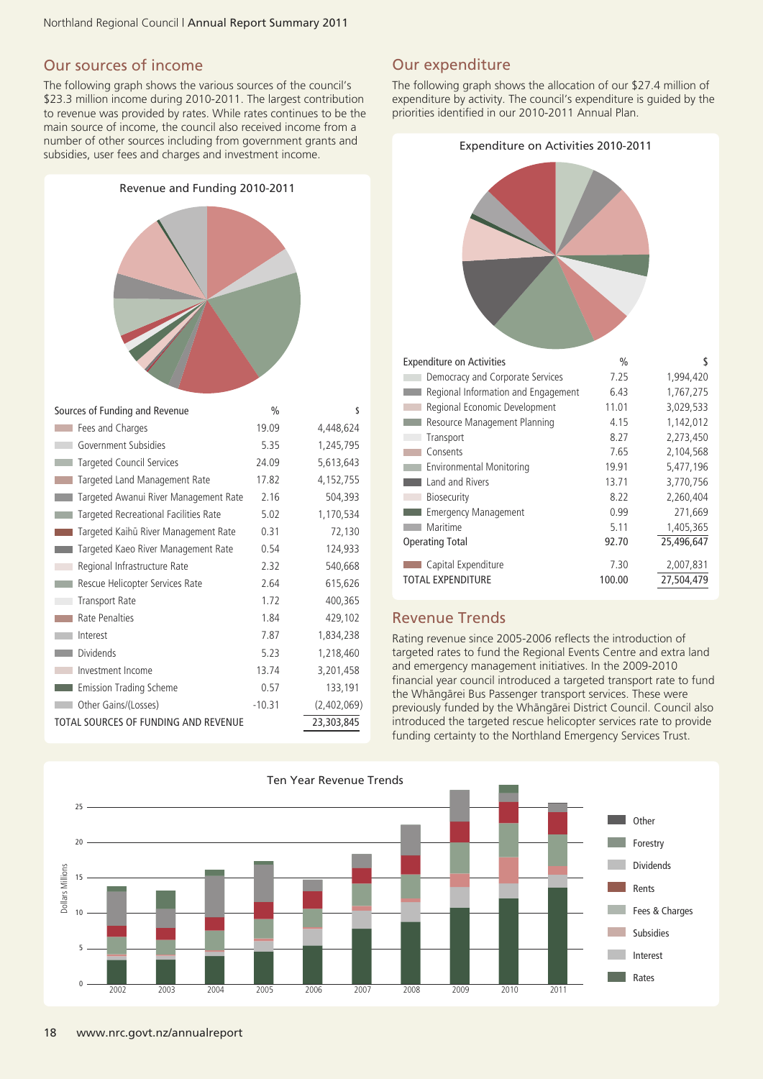# Our sources of income

The following graph shows the various sources of the council's \$23.3 million income during 2010-2011. The largest contribution to revenue was provided by rates. While rates continues to be the main source of income, the council also received income from a number of other sources including from government grants and subsidies, user fees and charges and investment income.

Revenue and Funding 2010-2011

# Sources of Funding and Revenue % \$

| Sources of Funding and Revenue        | 70       |             |
|---------------------------------------|----------|-------------|
| Fees and Charges                      | 19.09    | 4,448,624   |
| Government Subsidies                  | 5.35     | 1,245,795   |
| <b>Targeted Council Services</b>      | 24.09    | 5,613,643   |
| Targeted Land Management Rate         | 17.82    | 4, 152, 755 |
| Targeted Awanui River Management Rate | 2.16     | 504,393     |
| Targeted Recreational Facilities Rate | 5.02     | 1,170,534   |
| Targeted Kaihū River Management Rate  | 0.31     | 72,130      |
| Targeted Kaeo River Management Rate   | 0.54     | 124,933     |
| Regional Infrastructure Rate          | 2.32     | 540,668     |
| Rescue Helicopter Services Rate       | 2.64     | 615,626     |
| <b>Transport Rate</b>                 | 1.72     | 400,365     |
| Rate Penalties                        | 1.84     | 429,102     |
| Interest                              | 7.87     | 1,834,238   |
| <b>Dividends</b>                      | 5.23     | 1,218,460   |
| Investment Income                     | 13.74    | 3,201,458   |
| Emission Trading Scheme               | 0.57     | 133,191     |
| Other Gains/(Losses)                  | $-10.31$ | (2,402,069) |
| TOTAL SOURCES OF FUNDING AND REVENUE  |          | 23,303,845  |

# Our expenditure

The following graph shows the allocation of our \$27.4 million of expenditure by activity. The council's expenditure is guided by the priorities identified in our 2010-2011 Annual Plan.



| <b>Expenditure on Activities</b>    | $\frac{0}{0}$ | S          |
|-------------------------------------|---------------|------------|
| Democracy and Corporate Services    | 7.25          | 1,994,420  |
| Regional Information and Engagement | 6.43          | 1,767,275  |
| Regional Economic Development       | 11.01         | 3,029,533  |
| Resource Management Planning        | 4.15          | 1.142.012  |
| Transport                           | 8.27          | 2,273,450  |
| Consents                            | 7.65          | 2,104,568  |
| <b>Environmental Monitoring</b>     | 19.91         | 5,477,196  |
| Land and Rivers                     | 13.71         | 3,770,756  |
| <b>Biosecurity</b>                  | 8.22          | 2,260,404  |
| <b>Emergency Management</b>         | 0.99          | 271,669    |
| Maritime                            | 5.11          | 1,405,365  |
| <b>Operating Total</b>              | 92.70         | 25,496,647 |
| Capital Expenditure                 | 7.30          | 2,007,831  |
| <b>TOTAL EXPENDITURE</b>            | 100.00        | 27.504.479 |

# Revenue Trends

Rating revenue since 2005-2006 reflects the introduction of targeted rates to fund the Regional Events Centre and extra land and emergency management initiatives. In the 2009-2010 financial year council introduced a targeted transport rate to fund the Whängärei Bus Passenger transport services. These were previously funded by the Whängärei District Council. Council also introduced the targeted rescue helicopter services rate to provide funding certainty to the Northland Emergency Services Trust.

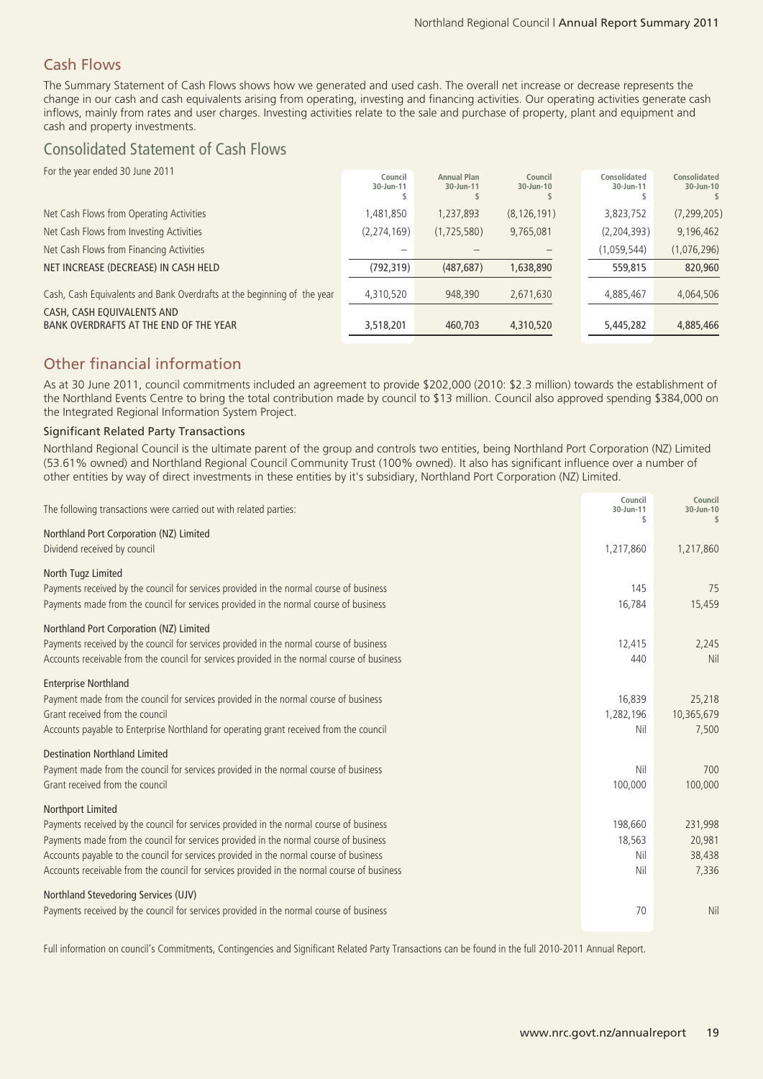# Cash Flows

The Summary Statement of Cash Flows shows how we generated and used cash. The overall net increase or decrease represents the change in our cash and cash equivalents arising from operating, investing and financing activities. Our operating activities generate cash inflows, mainly from rates and user charges. Investing activities relate to the sale and purchase of property, plant and equipment and cash and property investments.

# Consolidated Statement of Cash Flows

| For the year ended 30 June 2011                                         |             |                    |               |               |               |
|-------------------------------------------------------------------------|-------------|--------------------|---------------|---------------|---------------|
|                                                                         | Council     | <b>Annual Plan</b> | Council       | Consolidated  | Consolidated  |
|                                                                         | 30-Jun-11   | 30-Jun-11          | $30 - Jun-10$ | 30-Jun-11     | 30-Jun-10     |
|                                                                         |             |                    |               |               |               |
| Net Cash Flows from Operating Activities                                | 1,481,850   | 1,237,893          | (8, 126, 191) | 3,823,752     | (7, 299, 205) |
| Net Cash Flows from Investing Activities                                | (2,274,169) | (1,725,580)        | 9,765,081     | (2, 204, 393) | 9,196,462     |
| Net Cash Flows from Financing Activities                                |             |                    |               | (1,059,544)   | (1,076,296)   |
| NET INCREASE (DECREASE) IN CASH HELD                                    | (792, 319)  | (487, 687)         | 1,638,890     | 559,815       | 820,960       |
|                                                                         |             |                    |               |               |               |
| Cash, Cash Equivalents and Bank Overdrafts at the beginning of the year | 4,310,520   | 948,390            | 2,671,630     | 4,885,467     | 4,064,506     |
| CASH, CASH EQUIVALENTS AND                                              |             |                    |               |               |               |
| BANK OVERDRAFTS AT THE END OF THE YEAR                                  | 3,518,201   | 460,703            | 4,310,520     | 5,445,282     | 4,885,466     |
|                                                                         |             |                    |               |               |               |

# Other financial information

As at 30 June 2011, council commitments included an agreement to provide \$202,000 (2010: \$2.3 million) towards the establishment of the Northland Events Centre to bring the total contribution made by council to \$13 million. Council also approved spending \$384,000 on the Integrated Regional Information System Project.

#### Significant Related Party Transactions

Northland Regional Council is the ultimate parent of the group and controls two entities, being Northland Port Corporation (NZ) Limited (53.61% owned) and Northland Regional Council Community Trust (100% owned). It also has significant influence over a number of other entities by way of direct investments in these entities by it's subsidiary, Northland Port Corporation (NZ) Limited.

| The following transactions were carried out with related parties:                                                                                                                                                                                                                                                                                                                              | Council<br>30-Jun-11<br>\$      | Council<br>30-Jun-10<br>\$           |
|------------------------------------------------------------------------------------------------------------------------------------------------------------------------------------------------------------------------------------------------------------------------------------------------------------------------------------------------------------------------------------------------|---------------------------------|--------------------------------------|
| Northland Port Corporation (NZ) Limited<br>Dividend received by council                                                                                                                                                                                                                                                                                                                        | 1,217,860                       | 1,217,860                            |
| North Tugz Limited<br>Payments received by the council for services provided in the normal course of business<br>Payments made from the council for services provided in the normal course of business                                                                                                                                                                                         | 145<br>16,784                   | 75<br>15,459                         |
| Northland Port Corporation (NZ) Limited<br>Payments received by the council for services provided in the normal course of business<br>Accounts receivable from the council for services provided in the normal course of business                                                                                                                                                              | 12,415<br>440                   | 2,245<br>Nil                         |
| <b>Enterprise Northland</b><br>Payment made from the council for services provided in the normal course of business<br>Grant received from the council<br>Accounts payable to Enterprise Northland for operating grant received from the council                                                                                                                                               | 16,839<br>1,282,196<br>Nil      | 25,218<br>10,365,679<br>7,500        |
| <b>Destination Northland Limited</b><br>Payment made from the council for services provided in the normal course of business<br>Grant received from the council                                                                                                                                                                                                                                | Nil<br>100,000                  | 700<br>100,000                       |
| Northport Limited<br>Payments received by the council for services provided in the normal course of business<br>Payments made from the council for services provided in the normal course of business<br>Accounts payable to the council for services provided in the normal course of business<br>Accounts receivable from the council for services provided in the normal course of business | 198,660<br>18,563<br>Nil<br>Nil | 231,998<br>20,981<br>38,438<br>7,336 |
| Northland Stevedoring Services (UJV)<br>Payments received by the council for services provided in the normal course of business                                                                                                                                                                                                                                                                | 70                              | Nil                                  |

Full information on council's Commitments, Contingencies and Significant Related Party Transactions can be found in the full 2010-2011 Annual Report.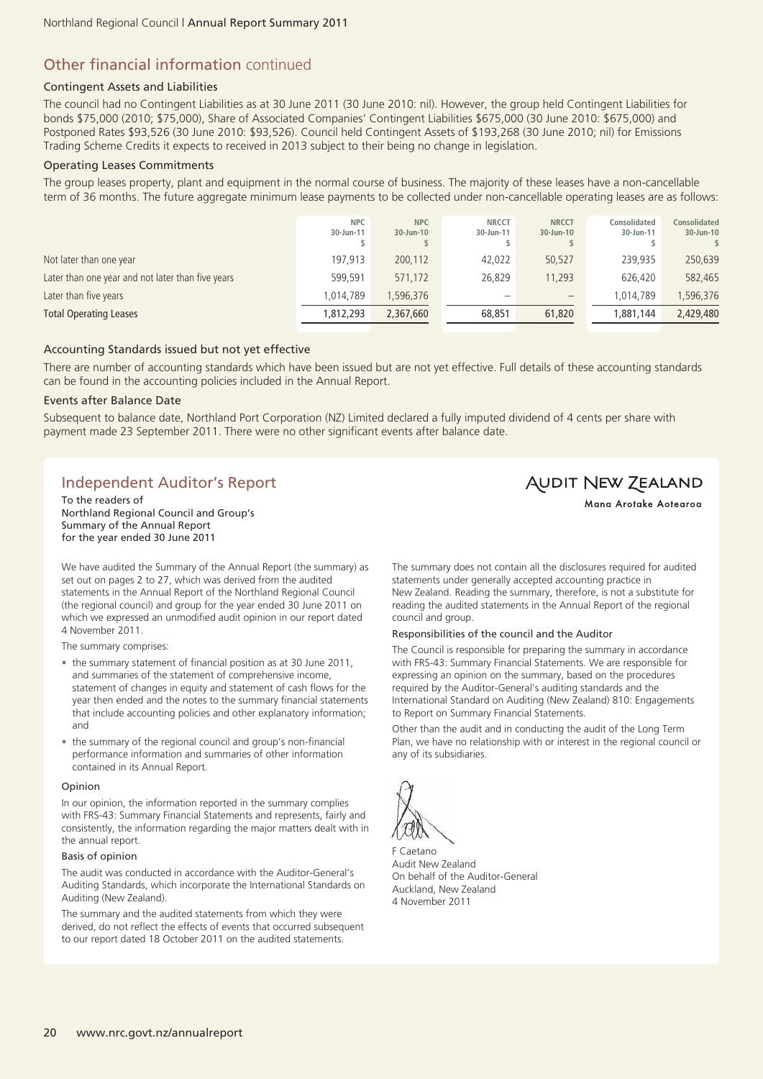# Other financial information continued

#### Contingent Assets and Liabilities

The council had no Contingent Liabilities as at 30 June 2011 (30 June 2010: nil). However, the group held Contingent Liabilities for bonds \$75,000 (2010; \$75,000), Share of Associated Companies' Contingent Liabilities \$675,000 (30 June 2010: \$675,000) and Postponed Rates \$93,526 (30 June 2010: \$93,526). Council held Contingent Assets of \$193,268 (30 June 2010; nil) for Emissions Trading Scheme Credits it expects to received in 2013 subject to their being no change in legislation.

#### Operating Leases Commitments

The group leases property, plant and equipment in the normal course of business. The majority of these leases have a non-cancellable term of 36 months. The future aggregate minimum lease payments to be collected under non-cancellable operating leases are as follows:

| <b>Total Operating Leases</b>                     | 1,812,293               | 2,367,660               | 68,851                    | 61,820                    | 1,881,144                 | 2,429,480                        |
|---------------------------------------------------|-------------------------|-------------------------|---------------------------|---------------------------|---------------------------|----------------------------------|
| Later than five years                             | 1,014,789               | 1,596,376               |                           | $\qquad \qquad -$         | 1,014,789                 | ,596,376                         |
| Later than one year and not later than five years | 599,591                 | 571,172                 | 26,829                    | 11,293                    | 626,420                   | 582,465                          |
| Not later than one year                           | 197,913                 | 200,112                 | 42,022                    | 50,527                    | 239.935                   | 250,639                          |
|                                                   | <b>NPC</b><br>30-Jun-11 | <b>NPC</b><br>30-Jun-10 | <b>NRCCT</b><br>30-Jun-11 | <b>NRCCT</b><br>30-Jun-10 | Consolidated<br>30-Jun-11 | <b>Consolidated</b><br>30-Jun-10 |

#### Accounting Standards issued but not yet effective

There are number of accounting standards which have been issued but are not yet effective. Full details of these accounting standards can be found in the accounting policies included in the Annual Report.

#### Events after Balance Date

Subsequent to balance date, Northland Port Corporation (NZ) Limited declared a fully imputed dividend of 4 cents per share with payment made 23 September 2011. There were no other significant events after balance date.

# Independent Auditor's Report

To the readers of Northland Regional Council and Group's Summary of the Annual Report for the year ended 30 June 2011

We have audited the Summary of the Annual Report (the summary) as set out on pages 2 to 27, which was derived from the audited statements in the Annual Report of the Northland Regional Council (the regional council) and group for the year ended 30 June 2011 on which we expressed an unmodified audit opinion in our report dated 4 November 2011.

The summary comprises:

- the summary statement of financial position as at 30 June 2011, and summaries of the statement of comprehensive income, statement of changes in equity and statement of cash flows for the year then ended and the notes to the summary financial statements that include accounting policies and other explanatory information; and
- the summary of the regional council and group's non-financial performance information and summaries of other information contained in its Annual Report.

#### Opinion

In our opinion, the information reported in the summary complies with FRS-43: Summary Financial Statements and represents, fairly and consistently, the information regarding the major matters dealt with in the annual report.

#### Basis of opinion

The audit was conducted in accordance with the Auditor-General's Auditing Standards, which incorporate the International Standards on Auditing (New Zealand).

The summary and the audited statements from which they were derived, do not reflect the effects of events that occurred subsequent to our report dated 18 October 2011 on the audited statements.

The summary does not contain all the disclosures required for audited statements under generally accepted accounting practice in New Zealand. Reading the summary, therefore, is not a substitute for reading the audited statements in the Annual Report of the regional council and group.

#### Responsibilities of the council and the Auditor

The Council is responsible for preparing the summary in accordance with FRS-43: Summary Financial Statements. We are responsible for expressing an opinion on the summary, based on the procedures required by the Auditor-General's auditing standards and the International Standard on Auditing (New Zealand) 810: Engagements to Report on Summary Financial Statements.

Other than the audit and in conducting the audit of the Long Term Plan, we have no relationship with or interest in the regional council or any of its subsidiaries.



F Caetano Audit New Zealand On behalf of the Auditor-General Auckland, New Zealand 4 November 2011

**AUDIT NEW ZEALAND** Mana Arotake Aotearoa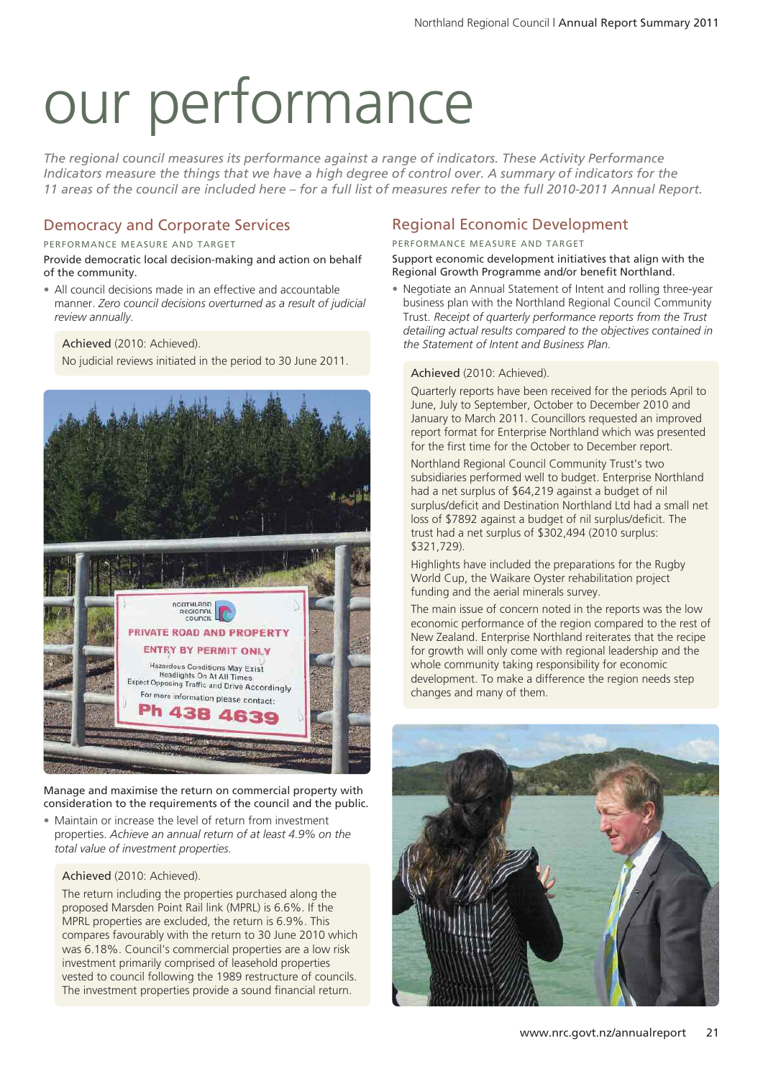# our performance

*The regional council measures its performance against a range of indicators. These Activity Performance* Indicators measure the things that we have a high degree of control over. A summary of indicators for the 11 areas of the council are included here - for a full list of measures refer to the full 2010-2011 Annual Report.

# Democracy and Corporate Services

PERFORMANCE MEASURE AND TARGET

Provide democratic local decision-making and action on behalf of the community.

• All council decisions made in an effective and accountable manner. *Zero council decisions overturned as a result of judicial review annually.*

Achieved (2010: Achieved).

No judicial reviews initiated in the period to 30 June 2011.



Manage and maximise the return on commercial property with consideration to the requirements of the council and the public.

• Maintain or increase the level of return from investment properties. *Achieve an annual return of at least 4.9% on the total value of investment properties.*

#### Achieved (2010: Achieved).

The return including the properties purchased along the proposed Marsden Point Rail link (MPRL) is 6.6%. If the MPRL properties are excluded, the return is 6.9%. This compares favourably with the return to 30 June 2010 which was 6.18%. Council's commercial properties are a low risk investment primarily comprised of leasehold properties vested to council following the 1989 restructure of councils. The investment properties provide a sound financial return.

# Regional Economic Development

PERFORMANCE MEASURE AND TARGET

Support economic development initiatives that align with the Regional Growth Programme and/or benefit Northland.

• Negotiate an Annual Statement of Intent and rolling three-year business plan with the Northland Regional Council Community Trust. *Receipt of quarterly performance reports from the Trust detailing actual results compared to the objectives contained in the Statement of Intent and Business Plan.*

#### Achieved (2010: Achieved).

Quarterly reports have been received for the periods April to June, July to September, October to December 2010 and January to March 2011. Councillors requested an improved report format for Enterprise Northland which was presented for the first time for the October to December report.

Northland Regional Council Community Trust's two subsidiaries performed well to budget. Enterprise Northland had a net surplus of \$64,219 against a budget of nil surplus/deficit and Destination Northland Ltd had a small net loss of \$7892 against a budget of nil surplus/deficit. The trust had a net surplus of \$302,494 (2010 surplus: \$321,729).

Highlights have included the preparations for the Rugby World Cup, the Waikare Oyster rehabilitation project funding and the aerial minerals survey.

The main issue of concern noted in the reports was the low economic performance of the region compared to the rest of New Zealand. Enterprise Northland reiterates that the recipe for growth will only come with regional leadership and the whole community taking responsibility for economic development. To make a difference the region needs step changes and many of them.

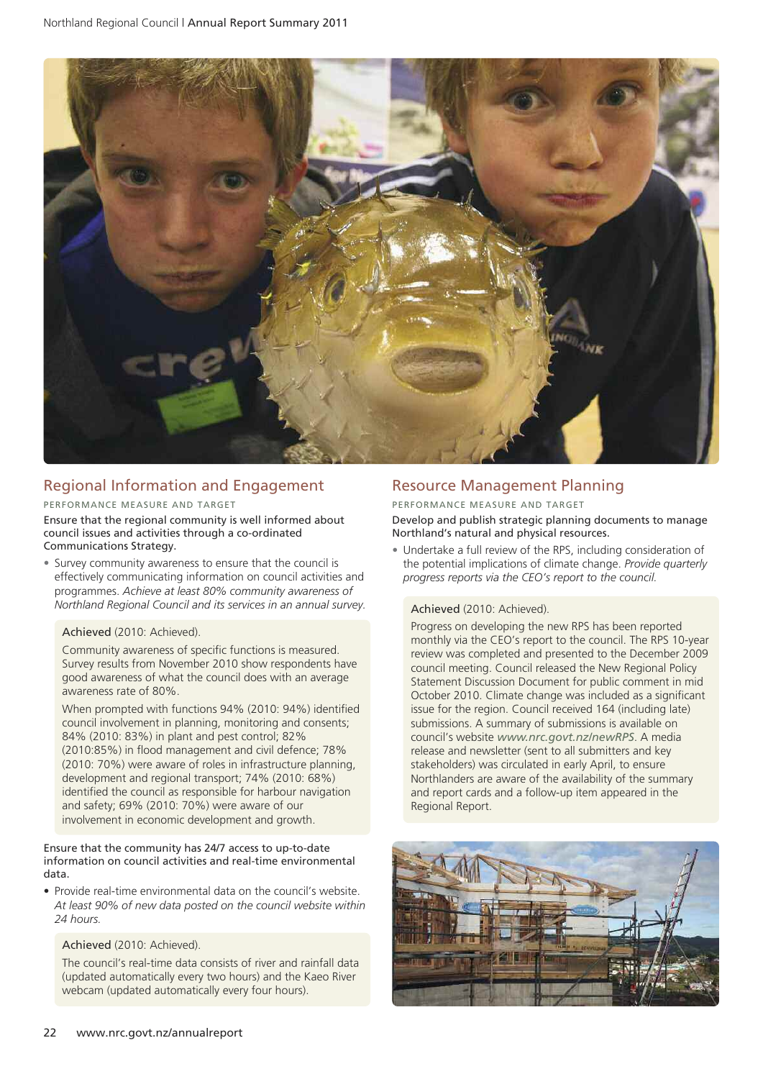

# Regional Information and Engagement

#### PERFORMANCE MEASURE AND TARGET

Ensure that the regional community is well informed about council issues and activities through a co-ordinated Communications Strategy.

• Survey community awareness to ensure that the council is effectively communicating information on council activities and programmes. *Achieve at least 80% community awareness of Northland Regional Council and its services in an annual survey.*

#### Achieved (2010: Achieved).

Community awareness of specific functions is measured. Survey results from November 2010 show respondents have good awareness of what the council does with an average awareness rate of 80%.

When prompted with functions 94% (2010: 94%) identified council involvement in planning, monitoring and consents; 84% (2010: 83%) in plant and pest control; 82% (2010:85%) in flood management and civil defence; 78% (2010: 70%) were aware of roles in infrastructure planning, development and regional transport; 74% (2010: 68%) identified the council as responsible for harbour navigation and safety; 69% (2010: 70%) were aware of our involvement in economic development and growth.

#### Ensure that the community has 24/7 access to up-to-date information on council activities and real-time environmental data.

• Provide real-time environmental data on the council's website. *At least 90% of new data posted on the council website within 24 hours.*

#### Achieved (2010: Achieved).

The council's real-time data consists of river and rainfall data (updated automatically every two hours) and the Kaeo River webcam (updated automatically every four hours).

# Resource Management Planning

#### PERFORMANCE MEASURE AND TARGET

Develop and publish strategic planning documents to manage Northland's natural and physical resources.

• Undertake a full review of the RPS, including consideration of the potential implications of climate change. *Provide quarterly progress reports via the CEO's report to the council.*

#### Achieved (2010: Achieved).

Progress on developing the new RPS has been reported monthly via the CEO's report to the council. The RPS 10-year review was completed and presented to the December 2009 council meeting. Council released the New Regional Policy Statement Discussion Document for public comment in mid October 2010. Climate change was included as a significant issue for the region. Council received 164 (including late) submissions. A summary of submissions is available on council's website *www.nrc.govt.nz/newRPS*. A media release and newsletter (sent to all submitters and key stakeholders) was circulated in early April, to ensure Northlanders are aware of the availability of the summary and report cards and a follow-up item appeared in the Regional Report.

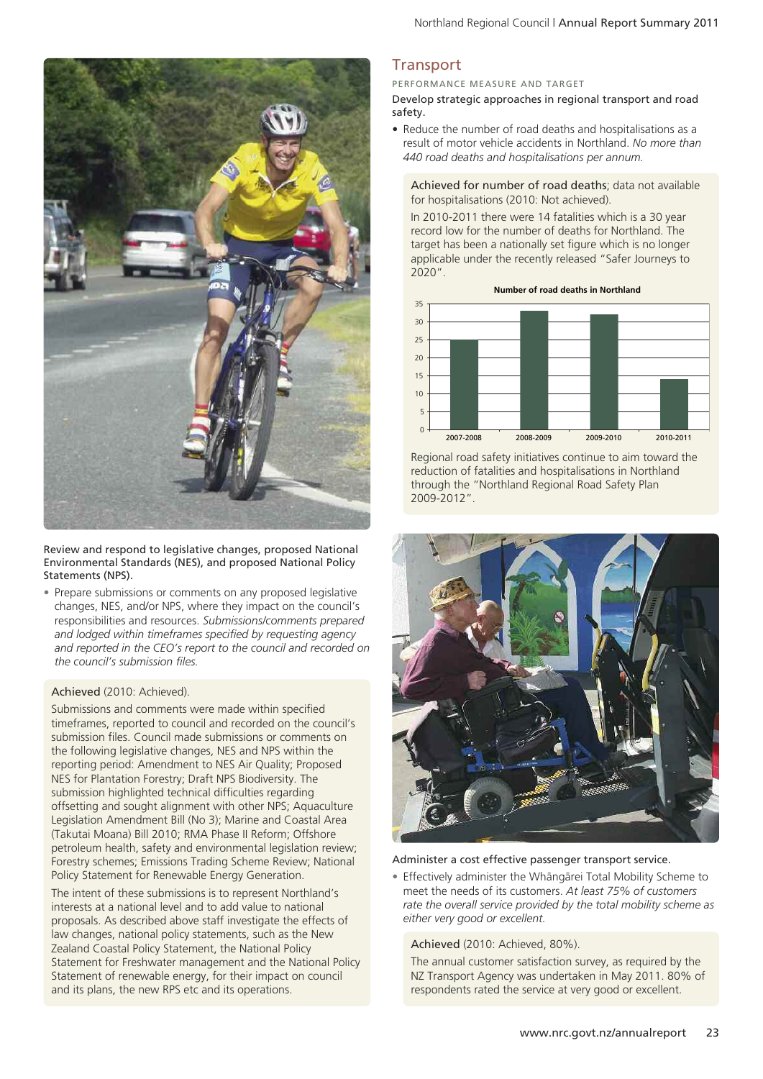

Review and respond to legislative changes, proposed National Environmental Standards (NES), and proposed National Policy Statements (NPS).

• Prepare submissions or comments on any proposed legislative changes, NES, and/or NPS, where they impact on the council's responsibilities and resources. *Submissions/comments prepared and lodged within timeframes specified by requesting agency and reported in the CEO's report to the council and recorded on the council's submission files.*

#### Achieved (2010: Achieved).

Submissions and comments were made within specified timeframes, reported to council and recorded on the council's submission files. Council made submissions or comments on the following legislative changes, NES and NPS within the reporting period: Amendment to NES Air Quality; Proposed NES for Plantation Forestry; Draft NPS Biodiversity. The submission highlighted technical difficulties regarding offsetting and sought alignment with other NPS; Aquaculture Legislation Amendment Bill (No 3); Marine and Coastal Area (Takutai Moana) Bill 2010; RMA Phase II Reform; Offshore petroleum health, safety and environmental legislation review; Forestry schemes; Emissions Trading Scheme Review; National Policy Statement for Renewable Energy Generation.

The intent of these submissions is to represent Northland's interests at a national level and to add value to national proposals. As described above staff investigate the effects of law changes, national policy statements, such as the New Zealand Coastal Policy Statement, the National Policy Statement for Freshwater management and the National Policy Statement of renewable energy, for their impact on council and its plans, the new RPS etc and its operations.

# **Transport**

PERFORMANCE MEASURE AND TARGET

Develop strategic approaches in regional transport and road safety.

• Reduce the number of road deaths and hospitalisations as a result of motor vehicle accidents in Northland. *No more than 440 road deaths and hospitalisations per annum.*

Achieved for number of road deaths; data not available for hospitalisations (2010: Not achieved).

In 2010-2011 there were 14 fatalities which is a 30 year record low for the number of deaths for Northland. The target has been a nationally set figure which is no longer applicable under the recently released "Safer Journeys to 2020".



Regional road safety initiatives continue to aim toward the reduction of fatalities and hospitalisations in Northland through the "Northland Regional Road Safety Plan 2009-2012".



#### Administer a cost effective passenger transport service.

• Effectively administer the Whängärei Total Mobility Scheme to meet the needs of its customers. *At least 75% of customers rate the overall service provided by the total mobility scheme as either very good or excellent.*

#### Achieved (2010: Achieved, 80%).

The annual customer satisfaction survey, as required by the NZ Transport Agency was undertaken in May 2011. 80% of respondents rated the service at very good or excellent.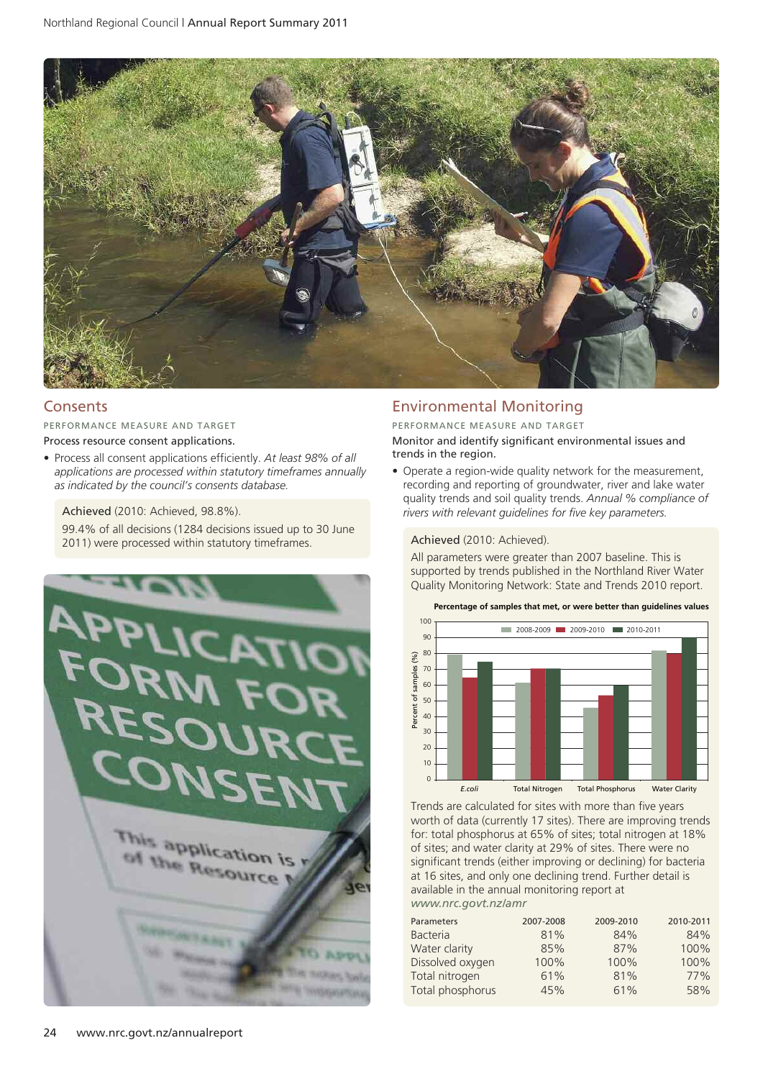

# **Consents**

PERFORMANCE MEASURE AND TARGET

Process resource consent applications.

• Process all consent applications efficiently. *At least 98% of all applications are processed within statutory timeframes annually as indicated by the council's consents database.*

Achieved (2010: Achieved, 98.8%).

99.4% of all decisions (1284 decisions issued up to 30 June 2011) were processed within statutory timeframes.<br>
2011) were processed within statutory timeframes.



## Environmental Monitoring

PERFORMANCE MEASURE AND TARGET Monitor and identify significant environmental issues and trends in the region.

• Operate a region-wide quality network for the measurement. recording and reporting of groundwater, river and lake water quality trends and soil quality trends. *Annual % compliance of rivers with relevant guidelines for five key parameters.*

All parameters were greater than 2007 baseline. This is supported by trends published in the Northland River Water Quality Monitoring Network: State and Trends 2010 report.



Trends are calculated for sites with more than five years worth of data (currently 17 sites). There are improving trends for: total phosphorus at 65% of sites; total nitrogen at 18% of sites; and water clarity at 29% of sites. There were no significant trends (either improving or declining) for bacteria at 16 sites, and only one declining trend. Further detail is available in the annual monitoring report at *www.nrc.govt.nz/amr*

| Parameters<br><b>Bacteria</b> | 2007-2008<br>81% | 2009-2010<br>84% | 2010-2011<br>84% |
|-------------------------------|------------------|------------------|------------------|
| Water clarity                 | 85%              | 87%              | 100%             |
| Dissolved oxygen              | 100%             | 100%             | 100%             |
| Total nitrogen                | 61%              | 81%              | 77%              |
| Total phosphorus              | 45%              | 61%              | 58%              |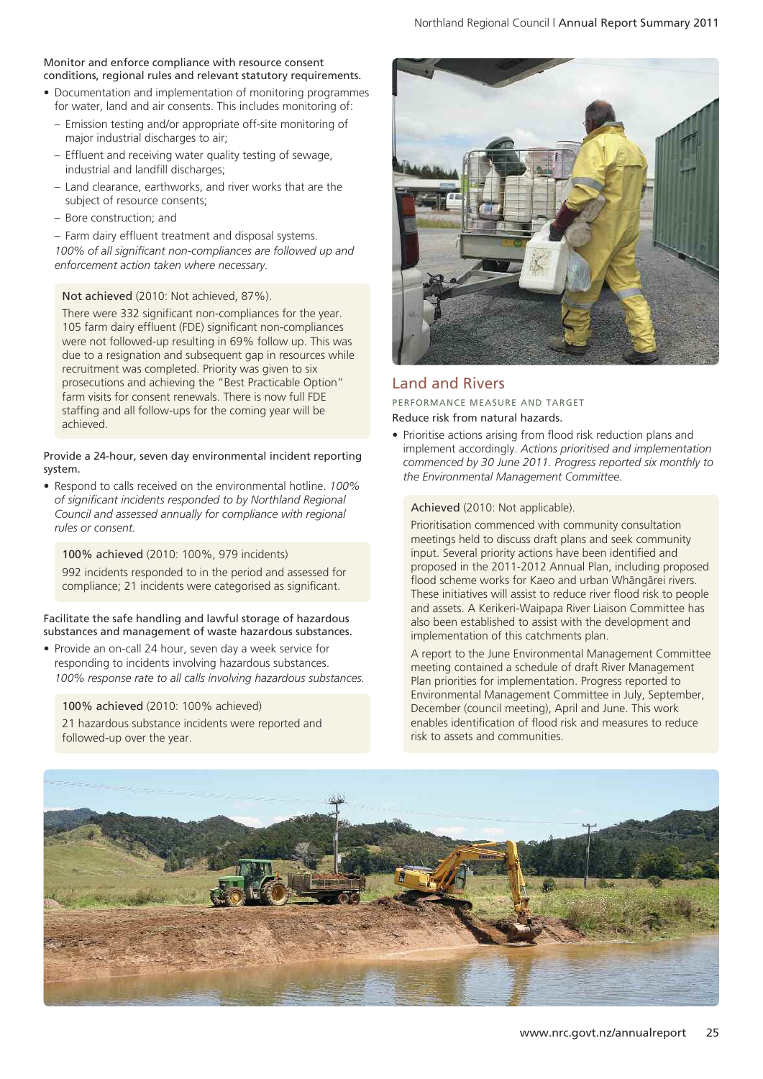#### Monitor and enforce compliance with resource consent conditions, regional rules and relevant statutory requirements.

- Documentation and implementation of monitoring programmes for water, land and air consents. This includes monitoring of:
- Emission testing and/or appropriate off-site monitoring of major industrial discharges to air;
- Effluent and receiving water quality testing of sewage, industrial and landfill discharges;
- Land clearance, earthworks, and river works that are the subject of resource consents;
- Bore construction; and

– Farm dairy effluent treatment and disposal systems.

*100% of all significant non-compliances are followed up and enforcement action taken where necessary.*

#### Not achieved (2010: Not achieved, 87%).

There were 332 significant non-compliances for the year. 105 farm dairy effluent (FDE) significant non-compliances were not followed-up resulting in 69% follow up. This was due to a resignation and subsequent gap in resources while recruitment was completed. Priority was given to six prosecutions and achieving the "Best Practicable Option" farm visits for consent renewals. There is now full FDE staffing and all follow-ups for the coming year will be achieved.

Provide a 24-hour, seven day environmental incident reporting system.

• Respond to calls received on the environmental hotline. *100% of significant incidents responded to by Northland Regional Council and assessed annually for compliance with regional rules or consent.*

100% achieved (2010: 100%, 979 incidents)

992 incidents responded to in the period and assessed for compliance; 21 incidents were categorised as significant.

Facilitate the safe handling and lawful storage of hazardous substances and management of waste hazardous substances.

• Provide an on-call 24 hour, seven day a week service for responding to incidents involving hazardous substances. *100% response rate to all calls involving hazardous substances.*

100% achieved (2010: 100% achieved)

21 hazardous substance incidents were reported and followed-up over the year.



## Land and Rivers

PERFORMANCE MEASURE AND TARGET

Reduce risk from natural hazards.

• Prioritise actions arising from flood risk reduction plans and implement accordingly. *Actions prioritised and implementation commenced by 30 June 2011. Progress reported six monthly to the Environmental Management Committee.*

#### Achieved (2010: Not applicable).

Prioritisation commenced with community consultation meetings held to discuss draft plans and seek community input. Several priority actions have been identified and proposed in the 2011-2012 Annual Plan, including proposed flood scheme works for Kaeo and urban Whängärei rivers. These initiatives will assist to reduce river flood risk to people and assets. A Kerikeri-Waipapa River Liaison Committee has also been established to assist with the development and implementation of this catchments plan.

A report to the June Environmental Management Committee meeting contained a schedule of draft River Management Plan priorities for implementation. Progress reported to Environmental Management Committee in July, September, December (council meeting), April and June. This work enables identification of flood risk and measures to reduce risk to assets and communities.

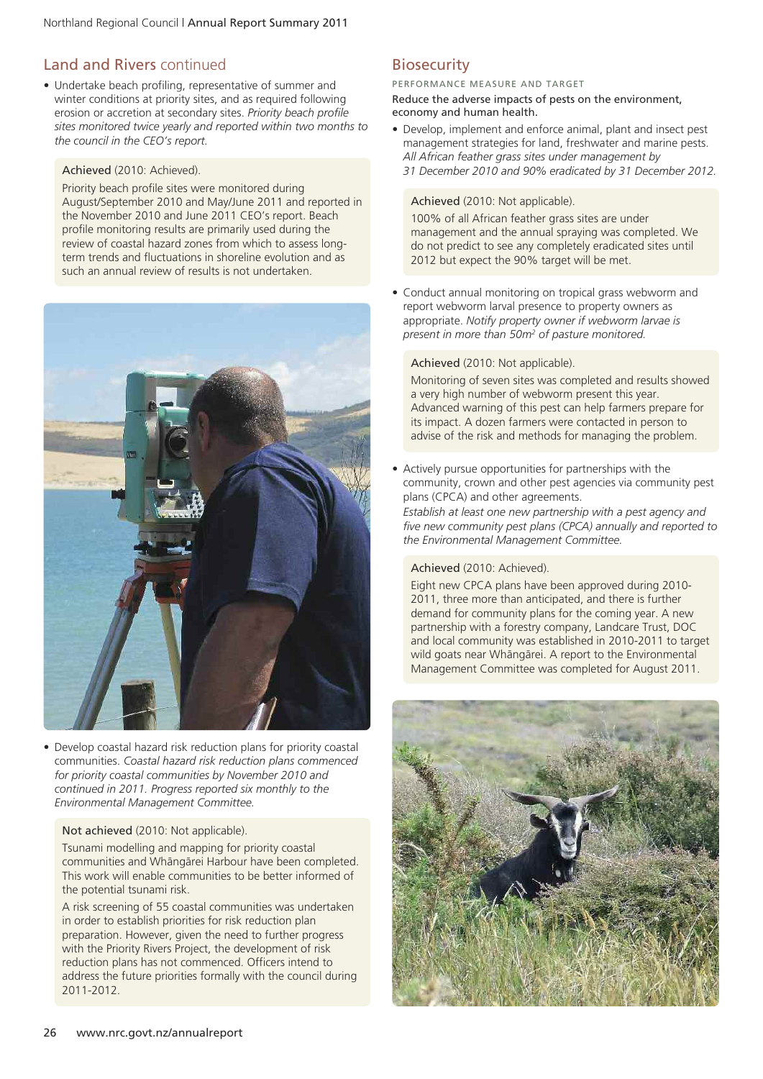# Land and Rivers continued

• Undertake beach profiling, representative of summer and winter conditions at priority sites, and as required following erosion or accretion at secondary sites. *Priority beach profile sites monitored twice yearly and reported within two months to the council in the CEO's report.*

#### Achieved (2010: Achieved).

Priority beach profile sites were monitored during August/September 2010 and May/June 2011 and reported in the November 2010 and June 2011 CEO's report. Beach profile monitoring results are primarily used during the review of coastal hazard zones from which to assess longterm trends and fluctuations in shoreline evolution and as such an annual review of results is not undertaken.



• Develop coastal hazard risk reduction plans for priority coastal communities. *Coastal hazard risk reduction plans commenced for priority coastal communities by November 2010 and continued in 2011. Progress reported six monthly to the Environmental Management Committee.*

#### Not achieved (2010: Not applicable).

Tsunami modelling and mapping for priority coastal communities and Whängärei Harbour have been completed. This work will enable communities to be better informed of the potential tsunami risk.

A risk screening of 55 coastal communities was undertaken in order to establish priorities for risk reduction plan preparation. However, given the need to further progress with the Priority Rivers Project, the development of risk reduction plans has not commenced. Officers intend to address the future priorities formally with the council during 2011-2012.

# **Biosecurity**

#### PERFORMANCE MEASURE AND TARGET

Reduce the adverse impacts of pests on the environment, economy and human health.

• Develop, implement and enforce animal, plant and insect pest management strategies for land, freshwater and marine pests. *All African feather grass sites under management by 31 December 2010 and 90% eradicated by 31 December 2012.*

#### Achieved (2010: Not applicable).

100% of all African feather grass sites are under management and the annual spraying was completed. We do not predict to see any completely eradicated sites until 2012 but expect the 90% target will be met.

• Conduct annual monitoring on tropical grass webworm and report webworm larval presence to property owners as appropriate. *Notify property owner if webworm larvae is present in more than 50m2 of pasture monitored.*

#### Achieved (2010: Not applicable).

Monitoring of seven sites was completed and results showed a very high number of webworm present this year. Advanced warning of this pest can help farmers prepare for its impact. A dozen farmers were contacted in person to advise of the risk and methods for managing the problem.

• Actively pursue opportunities for partnerships with the community, crown and other pest agencies via community pest plans (CPCA) and other agreements.

*Establish at least one new partnership with a pest agency and five new community pest plans (CPCA) annually and reported to the Environmental Management Committee.*

#### Achieved (2010: Achieved).

Eight new CPCA plans have been approved during 2010- 2011, three more than anticipated, and there is further demand for community plans for the coming year. A new partnership with a forestry company, Landcare Trust, DOC and local community was established in 2010-2011 to target wild goats near Whängärei. A report to the Environmental Management Committee was completed for August 2011.

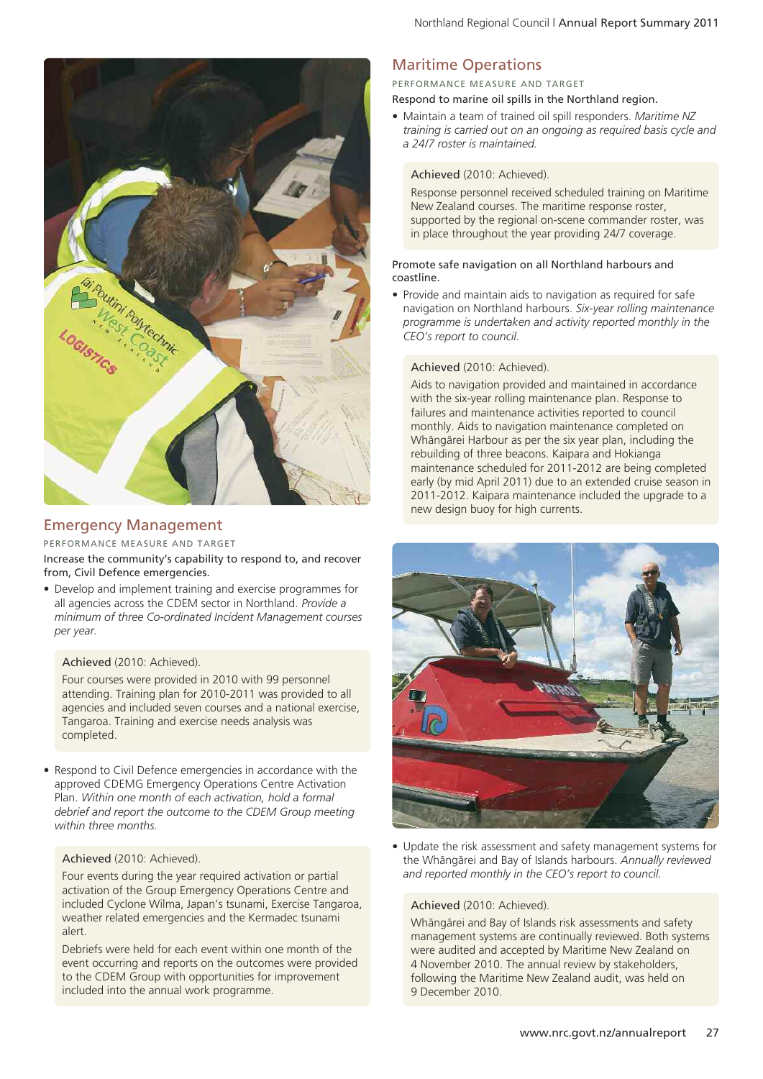

# Emergency Management

#### PERFORMANCE MEASURE AND TARGET

Increase the community's capability to respond to, and recover from, Civil Defence emergencies.

• Develop and implement training and exercise programmes for all agencies across the CDEM sector in Northland. *Provide a minimum of three Co-ordinated Incident Management courses per year.*

#### Achieved (2010: Achieved).

Four courses were provided in 2010 with 99 personnel attending. Training plan for 2010-2011 was provided to all agencies and included seven courses and a national exercise, Tangaroa. Training and exercise needs analysis was completed.

• Respond to Civil Defence emergencies in accordance with the approved CDEMG Emergency Operations Centre Activation Plan. *Within one month of each activation, hold a formal debrief and report the outcome to the CDEM Group meeting within three months.*

#### Achieved (2010: Achieved).

Four events during the year required activation or partial activation of the Group Emergency Operations Centre and included Cyclone Wilma, Japan's tsunami, Exercise Tangaroa, weather related emergencies and the Kermadec tsunami alert.

Debriefs were held for each event within one month of the event occurring and reports on the outcomes were provided to the CDEM Group with opportunities for improvement included into the annual work programme.

# Maritime Operations

## PERFORMANCE MEASURE AND TARGET

Respond to marine oil spills in the Northland region.

• Maintain a team of trained oil spill responders. *Maritime NZ training is carried out on an ongoing as required basis cycle and a 24/7 roster is maintained.*

#### Achieved (2010: Achieved).

Response personnel received scheduled training on Maritime New Zealand courses. The maritime response roster, supported by the regional on-scene commander roster, was in place throughout the year providing 24/7 coverage.

#### Promote safe navigation on all Northland harbours and coastline.

• Provide and maintain aids to navigation as required for safe navigation on Northland harbours. *Six-year rolling maintenance programme is undertaken and activity reported monthly in the CEO's report to council.*

#### Achieved (2010: Achieved).

Aids to navigation provided and maintained in accordance with the six-year rolling maintenance plan. Response to failures and maintenance activities reported to council monthly. Aids to navigation maintenance completed on Whängärei Harbour as per the six year plan, including the rebuilding of three beacons. Kaipara and Hokianga maintenance scheduled for 2011-2012 are being completed early (by mid April 2011) due to an extended cruise season in 2011-2012. Kaipara maintenance included the upgrade to a new design buoy for high currents.



• Update the risk assessment and safety management systems for the Whängärei and Bay of Islands harbours. *Annually reviewed and reported monthly in the CEO's report to council.*

#### Achieved (2010: Achieved).

Whängärei and Bay of Islands risk assessments and safety management systems are continually reviewed. Both systems were audited and accepted by Maritime New Zealand on 4 November 2010. The annual review by stakeholders, following the Maritime New Zealand audit, was held on 9 December 2010.